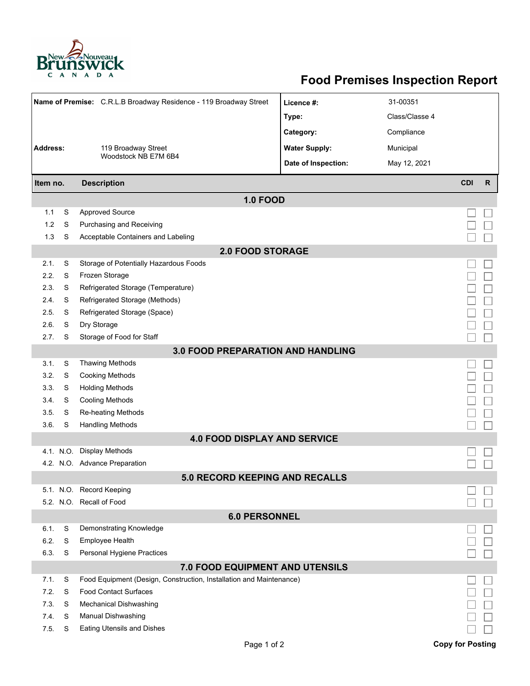

## **Food Premises Inspection Report**

| Name of Premise: C.R.L.B Broadway Residence - 119 Broadway Street |        |                                                                     | Licence #:           | 31-00351       |                         |              |  |  |  |  |
|-------------------------------------------------------------------|--------|---------------------------------------------------------------------|----------------------|----------------|-------------------------|--------------|--|--|--|--|
|                                                                   |        |                                                                     | Type:                | Class/Classe 4 |                         |              |  |  |  |  |
|                                                                   |        | 119 Broadway Street<br>Woodstock NB E7M 6B4                         | Category:            | Compliance     |                         |              |  |  |  |  |
| <b>Address:</b>                                                   |        |                                                                     | <b>Water Supply:</b> | Municipal      |                         |              |  |  |  |  |
|                                                                   |        |                                                                     |                      |                |                         |              |  |  |  |  |
|                                                                   |        |                                                                     | Date of Inspection:  | May 12, 2021   |                         |              |  |  |  |  |
| Item no.                                                          |        | <b>Description</b>                                                  |                      |                | <b>CDI</b>              | $\mathsf{R}$ |  |  |  |  |
| <b>1.0 FOOD</b>                                                   |        |                                                                     |                      |                |                         |              |  |  |  |  |
| 1.1                                                               | S      | <b>Approved Source</b>                                              |                      |                |                         |              |  |  |  |  |
| 1.2                                                               | S      | Purchasing and Receiving                                            |                      |                |                         |              |  |  |  |  |
| 1.3                                                               | S      | Acceptable Containers and Labeling                                  |                      |                |                         |              |  |  |  |  |
| <b>2.0 FOOD STORAGE</b>                                           |        |                                                                     |                      |                |                         |              |  |  |  |  |
| 2.1.                                                              | S      | Storage of Potentially Hazardous Foods                              |                      |                |                         |              |  |  |  |  |
| 2.2.                                                              | S      | Frozen Storage                                                      |                      |                |                         |              |  |  |  |  |
| 2.3                                                               | S      | Refrigerated Storage (Temperature)                                  |                      |                |                         |              |  |  |  |  |
| 2.4.                                                              | S      | Refrigerated Storage (Methods)                                      |                      |                |                         |              |  |  |  |  |
| 2.5.                                                              | S      | Refrigerated Storage (Space)                                        |                      |                |                         |              |  |  |  |  |
| 2.6.                                                              | S      | Dry Storage                                                         |                      |                |                         |              |  |  |  |  |
| 2.7.                                                              | S      | Storage of Food for Staff                                           |                      |                |                         |              |  |  |  |  |
| <b>3.0 FOOD PREPARATION AND HANDLING</b>                          |        |                                                                     |                      |                |                         |              |  |  |  |  |
| 3.1.                                                              | S      | <b>Thawing Methods</b>                                              |                      |                |                         |              |  |  |  |  |
| 3.2.                                                              | S      | <b>Cooking Methods</b>                                              |                      |                |                         |              |  |  |  |  |
| 3.3.                                                              | S      | <b>Holding Methods</b>                                              |                      |                |                         |              |  |  |  |  |
| 3.4.                                                              | S      | <b>Cooling Methods</b>                                              |                      |                |                         |              |  |  |  |  |
| 3.5.<br>3.6.                                                      | S<br>S | Re-heating Methods<br><b>Handling Methods</b>                       |                      |                |                         |              |  |  |  |  |
|                                                                   |        | <b>4.0 FOOD DISPLAY AND SERVICE</b>                                 |                      |                |                         |              |  |  |  |  |
|                                                                   |        | 4.1. N.O. Display Methods                                           |                      |                |                         |              |  |  |  |  |
|                                                                   |        | 4.2. N.O. Advance Preparation                                       |                      |                |                         |              |  |  |  |  |
|                                                                   |        | 5.0 RECORD KEEPING AND RECALLS                                      |                      |                |                         |              |  |  |  |  |
|                                                                   |        | 5.1. N.O. Record Keeping                                            |                      |                |                         |              |  |  |  |  |
|                                                                   |        | 5.2. N.O. Recall of Food                                            |                      |                |                         |              |  |  |  |  |
| <b>6.0 PERSONNEL</b>                                              |        |                                                                     |                      |                |                         |              |  |  |  |  |
| 6.1.                                                              | S      | Demonstrating Knowledge                                             |                      |                |                         |              |  |  |  |  |
| 6.2.                                                              | S      | Employee Health                                                     |                      |                |                         |              |  |  |  |  |
| 6.3.                                                              | S      | Personal Hygiene Practices                                          |                      |                |                         |              |  |  |  |  |
| 7.0 FOOD EQUIPMENT AND UTENSILS                                   |        |                                                                     |                      |                |                         |              |  |  |  |  |
| 7.1.                                                              | S      | Food Equipment (Design, Construction, Installation and Maintenance) |                      |                |                         |              |  |  |  |  |
| 7.2.                                                              | S      | <b>Food Contact Surfaces</b>                                        |                      |                |                         |              |  |  |  |  |
| 7.3.                                                              | S      | <b>Mechanical Dishwashing</b>                                       |                      |                |                         |              |  |  |  |  |
| 7.4.                                                              | S      | Manual Dishwashing                                                  |                      |                |                         |              |  |  |  |  |
| 7.5.                                                              | S      | Eating Utensils and Dishes                                          |                      |                |                         |              |  |  |  |  |
|                                                                   |        | Page 1 of 2                                                         |                      |                | <b>Copy for Posting</b> |              |  |  |  |  |